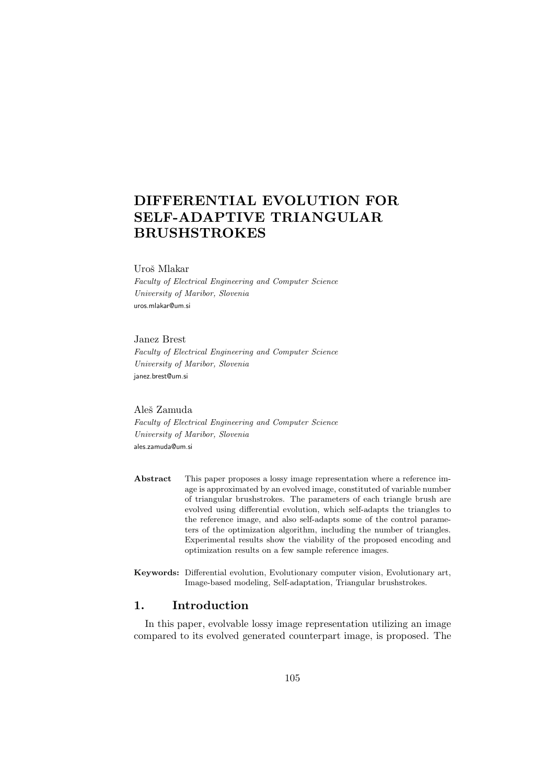# DIFFERENTIAL EVOLUTION FOR SELF-ADAPTIVE TRIANGULAR BRUSHSTROKES

### Uroš Mlakar

Faculty of Electrical Engineering and Computer Science University of Maribor, Slovenia uros.mlakar@um.si

#### Janez Brest

Faculty of Electrical Engineering and Computer Science University of Maribor, Slovenia janez.brest@um.si

#### Aleš Zamuda

Faculty of Electrical Engineering and Computer Science University of Maribor, Slovenia ales.zamuda@um.si

- Abstract This paper proposes a lossy image representation where a reference image is approximated by an evolved image, constituted of variable number of triangular brushstrokes. The parameters of each triangle brush are evolved using differential evolution, which self-adapts the triangles to the reference image, and also self-adapts some of the control parameters of the optimization algorithm, including the number of triangles. Experimental results show the viability of the proposed encoding and optimization results on a few sample reference images.
- Keywords: Differential evolution, Evolutionary computer vision, Evolutionary art, Image-based modeling, Self-adaptation, Triangular brushstrokes.

# 1. Introduction

In this paper, evolvable lossy image representation utilizing an image compared to its evolved generated counterpart image, is proposed. The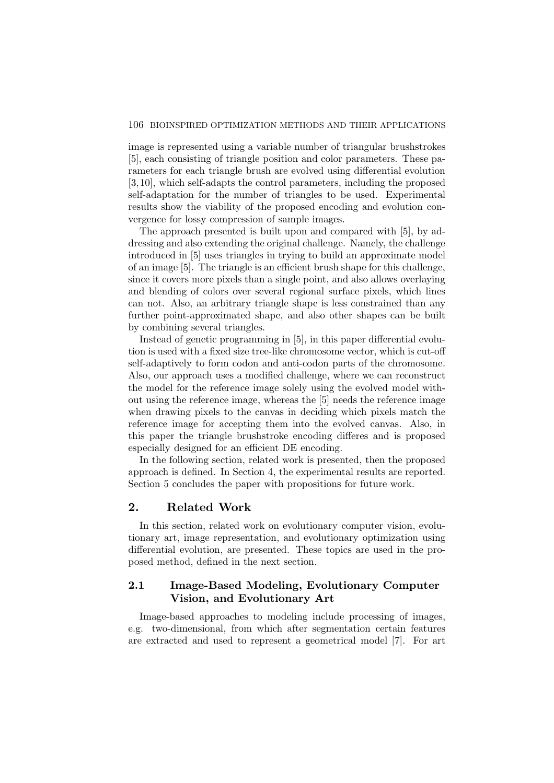### 106 BIOINSPIRED OPTIMIZATION METHODS AND THEIR APPLICATIONS

image is represented using a variable number of triangular brushstrokes [5], each consisting of triangle position and color parameters. These parameters for each triangle brush are evolved using differential evolution [3, 10], which self-adapts the control parameters, including the proposed self-adaptation for the number of triangles to be used. Experimental results show the viability of the proposed encoding and evolution convergence for lossy compression of sample images.

The approach presented is built upon and compared with [5], by addressing and also extending the original challenge. Namely, the challenge introduced in [5] uses triangles in trying to build an approximate model of an image [5]. The triangle is an efficient brush shape for this challenge, since it covers more pixels than a single point, and also allows overlaying and blending of colors over several regional surface pixels, which lines can not. Also, an arbitrary triangle shape is less constrained than any further point-approximated shape, and also other shapes can be built by combining several triangles.

Instead of genetic programming in [5], in this paper differential evolution is used with a fixed size tree-like chromosome vector, which is cut-off self-adaptively to form codon and anti-codon parts of the chromosome. Also, our approach uses a modified challenge, where we can reconstruct the model for the reference image solely using the evolved model without using the reference image, whereas the [5] needs the reference image when drawing pixels to the canvas in deciding which pixels match the reference image for accepting them into the evolved canvas. Also, in this paper the triangle brushstroke encoding differes and is proposed especially designed for an efficient DE encoding.

In the following section, related work is presented, then the proposed approach is defined. In Section 4, the experimental results are reported. Section 5 concludes the paper with propositions for future work.

# 2. Related Work

In this section, related work on evolutionary computer vision, evolutionary art, image representation, and evolutionary optimization using differential evolution, are presented. These topics are used in the proposed method, defined in the next section.

# 2.1 Image-Based Modeling, Evolutionary Computer Vision, and Evolutionary Art

Image-based approaches to modeling include processing of images, e.g. two-dimensional, from which after segmentation certain features are extracted and used to represent a geometrical model [7]. For art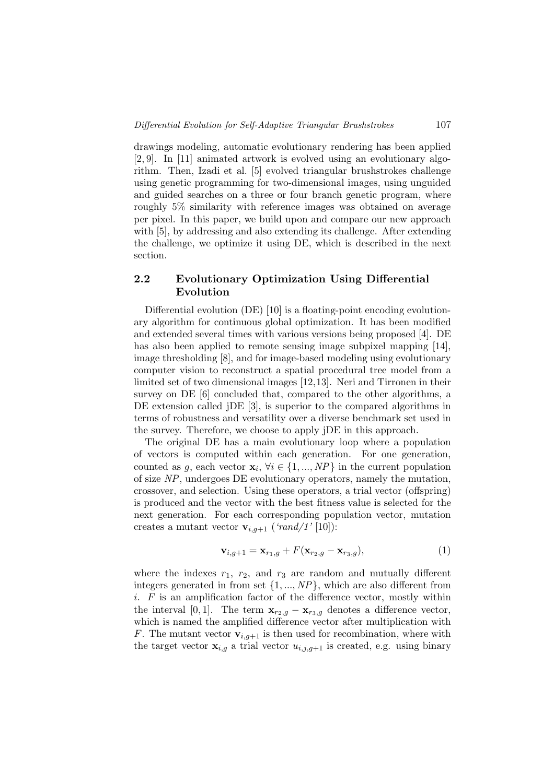drawings modeling, automatic evolutionary rendering has been applied [2, 9]. In [11] animated artwork is evolved using an evolutionary algorithm. Then, Izadi et al. [5] evolved triangular brushstrokes challenge using genetic programming for two-dimensional images, using unguided and guided searches on a three or four branch genetic program, where roughly 5% similarity with reference images was obtained on average per pixel. In this paper, we build upon and compare our new approach with [5], by addressing and also extending its challenge. After extending the challenge, we optimize it using DE, which is described in the next section.

# 2.2 Evolutionary Optimization Using Differential Evolution

Differential evolution (DE) [10] is a floating-point encoding evolutionary algorithm for continuous global optimization. It has been modified and extended several times with various versions being proposed [4]. DE has also been applied to remote sensing image subpixel mapping [14], image thresholding [8], and for image-based modeling using evolutionary computer vision to reconstruct a spatial procedural tree model from a limited set of two dimensional images [12,13]. Neri and Tirronen in their survey on DE [6] concluded that, compared to the other algorithms, a DE extension called *jDE* [3], is superior to the compared algorithms in terms of robustness and versatility over a diverse benchmark set used in the survey. Therefore, we choose to apply jDE in this approach.

The original DE has a main evolutionary loop where a population of vectors is computed within each generation. For one generation, counted as g, each vector  $\mathbf{x}_i, \forall i \in \{1, ..., NP\}$  in the current population of size NP, undergoes DE evolutionary operators, namely the mutation, crossover, and selection. Using these operators, a trial vector (offspring) is produced and the vector with the best fitness value is selected for the next generation. For each corresponding population vector, mutation creates a mutant vector  $\mathbf{v}_{i,q+1}$  ('rand/1' [10]):

$$
\mathbf{v}_{i,g+1} = \mathbf{x}_{r_1,g} + F(\mathbf{x}_{r_2,g} - \mathbf{x}_{r_3,g}),
$$
\n(1)

where the indexes  $r_1$ ,  $r_2$ , and  $r_3$  are random and mutually different integers generated in from set  $\{1, ..., NP\}$ , which are also different from  $i.$  F is an amplification factor of the difference vector, mostly within the interval [0, 1]. The term  $\mathbf{x}_{r_2,g} - \mathbf{x}_{r_3,g}$  denotes a difference vector, which is named the amplified difference vector after multiplication with F. The mutant vector  $\mathbf{v}_{i,q+1}$  is then used for recombination, where with the target vector  $\mathbf{x}_{i,g}$  a trial vector  $u_{i,j,g+1}$  is created, e.g. using binary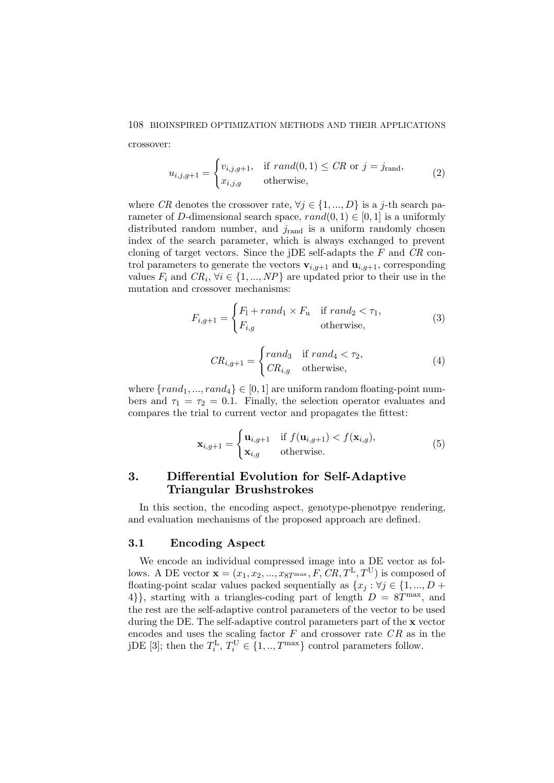#### 108 BIOINSPIRED OPTIMIZATION METHODS AND THEIR APPLICATIONS

crossover:

$$
u_{i,j,g+1} = \begin{cases} v_{i,j,g+1}, & \text{if } rand(0,1) \leq CR \text{ or } j = j_{\text{rand}},\\ x_{i,j,g} & \text{otherwise}, \end{cases} \tag{2}
$$

where CR denotes the crossover rate,  $\forall j \in \{1, ..., D\}$  is a j-th search parameter of D-dimensional search space,  $rand(0, 1) \in [0, 1]$  is a uniformly distributed random number, and  $j_{\text{rand}}$  is a uniform randomly chosen index of the search parameter, which is always exchanged to prevent cloning of target vectors. Since the jDE self-adapts the  $F$  and  $CR$  control parameters to generate the vectors  $\mathbf{v}_{i,g+1}$  and  $\mathbf{u}_{i,g+1}$ , corresponding values  $F_i$  and  $CR_i$ ,  $\forall i \in \{1, ..., NP\}$  are updated prior to their use in the mutation and crossover mechanisms:

$$
F_{i,g+1} = \begin{cases} F_1 + rand_1 \times F_u & \text{if } rand_2 < \tau_1, \\ F_{i,g} & \text{otherwise,} \end{cases} \tag{3}
$$

$$
CR_{i,g+1} = \begin{cases} rand_3 & \text{if } rand_4 < \tau_2, \\ CR_{i,g} & \text{otherwise,} \end{cases}
$$
 (4)

where  $\{rand_1, ..., rand_4\} \in [0,1]$  are uniform random floating-point numbers and  $\tau_1 = \tau_2 = 0.1$ . Finally, the selection operator evaluates and compares the trial to current vector and propagates the fittest:

$$
\mathbf{x}_{i,g+1} = \begin{cases} \mathbf{u}_{i,g+1} & \text{if } f(\mathbf{u}_{i,g+1}) < f(\mathbf{x}_{i,g}), \\ \mathbf{x}_{i,g} & \text{otherwise.} \end{cases} \tag{5}
$$

# 3. Differential Evolution for Self-Adaptive Triangular Brushstrokes

In this section, the encoding aspect, genotype-phenotpye rendering, and evaluation mechanisms of the proposed approach are defined.

### 3.1 Encoding Aspect

We encode an individual compressed image into a DE vector as follows. A DE vector  $\mathbf{x} = (x_1, x_2, ..., x_{\text{ST}^{\text{max}}}, F, CR, T^{\text{L}}, T^{\text{U}})$  is composed of floating-point scalar values packed sequentially as  $\{x_j : \forall j \in \{1, ..., D + \}$ 4}, starting with a triangles-coding part of length  $D = 8T<sup>max</sup>$ , and the rest are the self-adaptive control parameters of the vector to be used during the DE. The self-adaptive control parameters part of the x vector encodes and uses the scaling factor  $F$  and crossover rate  $CR$  as in the jDE [3]; then the  $T_i^{\text{L}}$ ,  $T_i^{\text{U}} \in \{1, ..., T^{\text{max}}\}$  control parameters follow.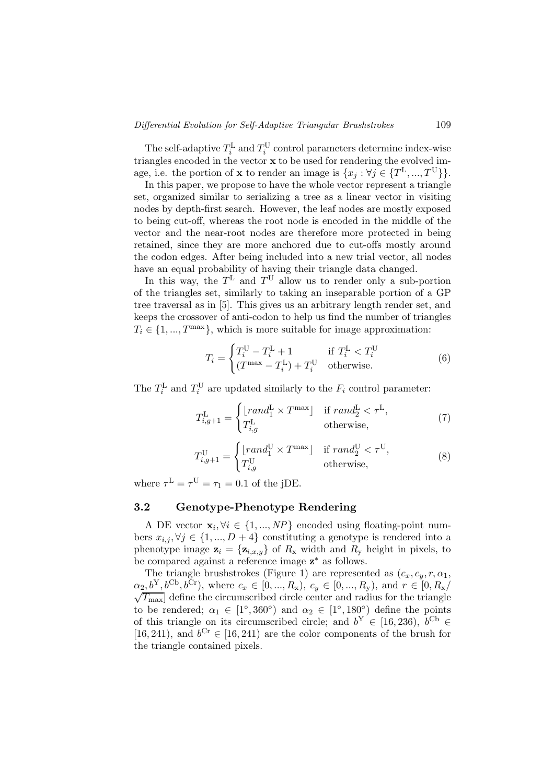The self-adaptive  $T_i^{\text{L}}$  and  $T_i^{\text{U}}$  control parameters determine index-wise triangles encoded in the vector x to be used for rendering the evolved image, i.e. the portion of **x** to render an image is  $\{x_j : \forall j \in \{T^L, ..., T^U\}\}\.$ 

In this paper, we propose to have the whole vector represent a triangle set, organized similar to serializing a tree as a linear vector in visiting nodes by depth-first search. However, the leaf nodes are mostly exposed to being cut-off, whereas the root node is encoded in the middle of the vector and the near-root nodes are therefore more protected in being retained, since they are more anchored due to cut-offs mostly around the codon edges. After being included into a new trial vector, all nodes have an equal probability of having their triangle data changed.

In this way, the  $T^L$  and  $T^U$  allow us to render only a sub-portion of the triangles set, similarly to taking an inseparable portion of a GP tree traversal as in [5]. This gives us an arbitrary length render set, and keeps the crossover of anti-codon to help us find the number of triangles  $T_i \in \{1, ..., T^{\max}\}\$ , which is more suitable for image approximation:

$$
T_i = \begin{cases} T_i^{\text{U}} - T_i^{\text{L}} + 1 & \text{if } T_i^{\text{L}} < T_i^{\text{U}} \\ (T^{\text{max}} - T_i^{\text{L}}) + T_i^{\text{U}} & \text{otherwise.} \end{cases}
$$
(6)

The  $T_i^{\text{L}}$  and  $T_i^{\text{U}}$  are updated similarly to the  $F_i$  control parameter:

$$
T_{i,g+1}^{\mathcal{L}} = \begin{cases} \lfloor rand_1^{\mathcal{L}} \times T^{\max} \rfloor & \text{if } rand_2^{\mathcal{L}} < \tau^{\mathcal{L}}, \\ T_{i,g}^{\mathcal{L}} & \text{otherwise,} \end{cases}
$$
(7)

$$
T_{i,g+1}^{\mathcal{U}} = \begin{cases} \lfloor rand_1^{\mathcal{U}} \times T^{\max} \rfloor & \text{if } rand_2^{\mathcal{U}} < \tau^{\mathcal{U}}, \\ T_{i,g}^{\mathcal{U}} & \text{otherwise,} \end{cases}
$$
(8)

where  $\tau^{\mathcal{L}} = \tau^{\mathcal{U}} = \tau_1 = 0.1$  of the jDE.

### 3.2 Genotype-Phenotype Rendering

A DE vector  $\mathbf{x}_i, \forall i \in \{1, ..., NP\}$  encoded using floating-point numbers  $x_{i,j}, \forall j \in \{1, ..., D+4\}$  constituting a genotype is rendered into a phenotype image  $\mathbf{z}_i = {\mathbf{z}_{i,x,y}}$  of  $R_{\mathbf{x}}$  width and  $R_{\mathbf{y}}$  height in pixels, to be compared against a reference image  $z^*$  as follows.

The triangle brushstrokes (Figure 1) are represented as  $(c_x, c_y, r, \alpha_1,$  $\alpha_2, b^{\mathcal{Y}}, b^{\mathcal{C}\mathbf{b}}, b^{\mathcal{C}\mathbf{r}}$ , where  $c_x \in [0, ..., R_{\mathbf{x}}), c_y \in [0, ..., R_{\mathbf{y}})$ , and  $r \in [0, R_{\mathbf{x}}/\sqrt{T_{\text{max}}}$  define the circumscribed circle center and radius for the triangle to be rendered;  $\alpha_1 \in [1^\circ, 360^\circ)$  and  $\alpha_2 \in [1^\circ, 180^\circ]$  define the points of this triangle on its circumscribed circle; and  $b^Y \in [16, 236)$ ,  $b^{Cb} \in$ [16, 241), and  $b^{Cr} \in [16, 241)$  are the color components of the brush for the triangle contained pixels.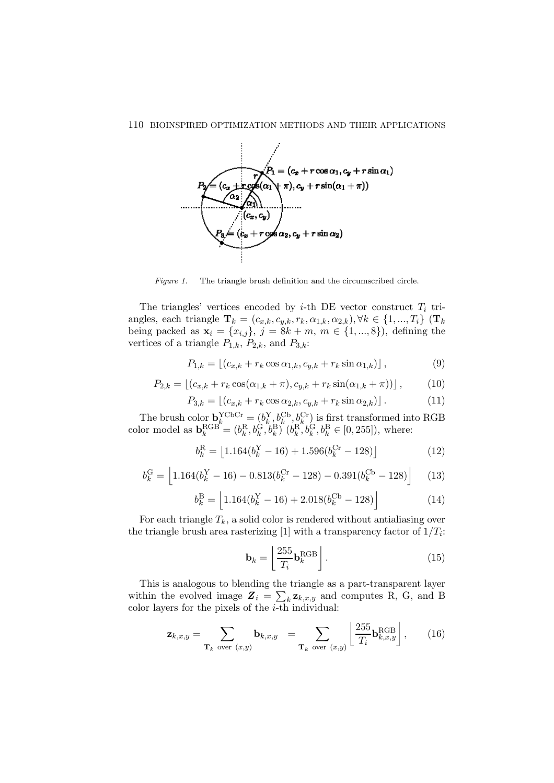

Figure 1. The triangle brush definition and the circumscribed circle.

The triangles' vertices encoded by *i*-th DE vector construct  $T_i$  triangles, each triangle  $\mathbf{T}_k = (c_{x,k}, c_{y,k}, r_k, \alpha_{1,k}, \alpha_{2,k}), \forall k \in \{1, ..., T_i\}$  ( $\mathbf{T}_k$ ) being packed as  $\mathbf{x}_i = \{x_{i,j}\}, \ j = 8k + m, \ m \in \{1, ..., 8\}$ , defining the vertices of a triangle  $P_{1,k}$ ,  $P_{2,k}$ , and  $P_{3,k}$ :

$$
P_{1,k} = \lfloor (c_{x,k} + r_k \cos \alpha_{1,k}, c_{y,k} + r_k \sin \alpha_{1,k}) \rfloor, \tag{9}
$$

$$
P_{2,k} = \left[ (c_{x,k} + r_k \cos(\alpha_{1,k} + \pi), c_{y,k} + r_k \sin(\alpha_{1,k} + \pi)) \right],
$$
 (10)

$$
P_{3,k} = \lfloor (c_{x,k} + r_k \cos \alpha_{2,k}, c_{y,k} + r_k \sin \alpha_{2,k}) \rfloor.
$$
 (11)

The brush color  $\mathbf{b}_k^{\text{YCbCr}} = (b_k^{\text{Y}}, b_k^{\text{Cb}}, b_k^{\text{Cr}})$  is first transformed into RGB color model as  $\mathbf{b}_k^{\text{RGB}} = (b_k^{\text{R}}, b_k^{\text{G}}, b_k^{\text{B}}) (b_k^{\text{R}}, b_k^{\text{G}}, b_k^{\text{B}} \in [0, 255])$ , where:

$$
b_k^{\rm R} = \left[1.164(b_k^{\rm Y} - 16) + 1.596(b_k^{\rm Cr} - 128)\right]
$$
 (12)

$$
b_k^{\text{G}} = \left[1.164(b_k^{\text{Y}} - 16) - 0.813(b_k^{\text{Cr}} - 128) - 0.391(b_k^{\text{Cb}} - 128)\right] \tag{13}
$$

$$
b_k^{\text{B}} = \left[1.164(b_k^{\text{Y}} - 16) + 2.018(b_k^{\text{Cb}} - 128)\right]
$$
 (14)

For each triangle  $T_k$ , a solid color is rendered without antialiasing over the triangle brush area rasterizing [1] with a transparency factor of  $1/T_i$ :

$$
\mathbf{b}_k = \left[ \frac{255}{T_i} \mathbf{b}_k^{\text{RGB}} \right]. \tag{15}
$$

This is analogous to blending the triangle as a part-transparent layer within the evolved image  $\mathbf{Z}_i = \sum_k \mathbf{z}_{k,x,y}$  and computes R, G, and B color layers for the pixels of the  $i$ -th individual:

$$
\mathbf{z}_{k,x,y} = \sum_{\mathbf{T}_k \text{ over } (x,y)} \mathbf{b}_{k,x,y} = \sum_{\mathbf{T}_k \text{ over } (x,y)} \left[ \frac{255}{T_i} \mathbf{b}_{k,x,y}^{\text{RGB}} \right], \quad (16)
$$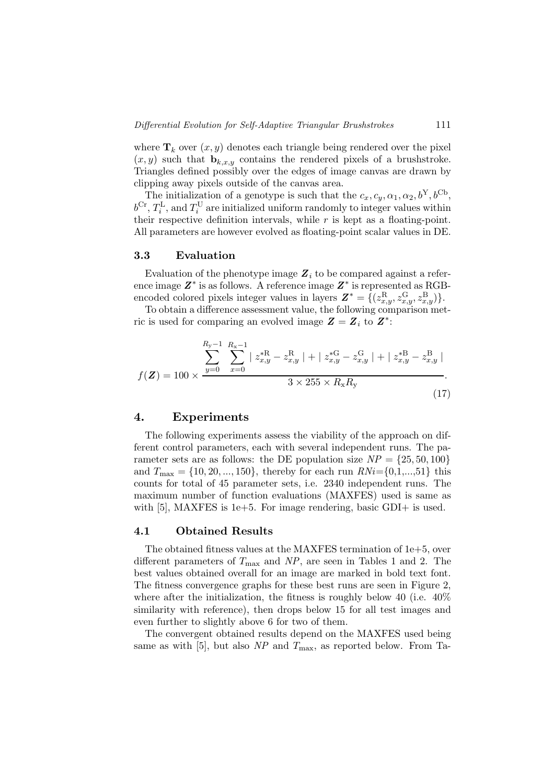where  $\mathbf{T}_k$  over  $(x, y)$  denotes each triangle being rendered over the pixel  $(x, y)$  such that  $\mathbf{b}_{k,x,y}$  contains the rendered pixels of a brushstroke. Triangles defined possibly over the edges of image canvas are drawn by clipping away pixels outside of the canvas area.

The initialization of a genotype is such that the  $c_x, c_y, \alpha_1, \alpha_2, b^Y, b^{Cb}$ ,  $b^{\text{Cr}}, T_i^{\text{L}}, \text{and } T_i^{\text{U}}$  are initialized uniform randomly to integer values within their respective definition intervals, while  $r$  is kept as a floating-point. All parameters are however evolved as floating-point scalar values in DE.

### 3.3 Evaluation

Evaluation of the phenotype image  $\mathbf{Z}_i$  to be compared against a reference image  $Z^*$  is as follows. A reference image  $Z^*$  is represented as RGBencoded colored pixels integer values in layers  $\mathbf{Z}^* = \{ (z_{x,y}^{\rm R}, z_{x,y}^{\rm G}, z_{x,y}^{\rm B}) \}.$ 

To obtain a difference assessment value, the following comparison metric is used for comparing an evolved image  $Z = Z_i$  to  $Z^*$ :

$$
f(\mathbf{Z}) = 100 \times \frac{\sum_{y=0}^{R_y - 1} \sum_{x=0}^{R_x - 1} |z_{x,y}^{*R} - z_{x,y}^{R}| + |z_{x,y}^{*G} - z_{x,y}^{G}| + |z_{x,y}^{*B} - z_{x,y}^{B}|}{3 \times 255 \times R_x R_y}.
$$
\n(17)

### 4. Experiments

The following experiments assess the viability of the approach on different control parameters, each with several independent runs. The parameter sets are as follows: the DE population size  $NP = \{25, 50, 100\}$ and  $T_{\text{max}} = \{10, 20, ..., 150\}$ , thereby for each run  $RNi = \{0, 1, ..., 51\}$  this counts for total of 45 parameter sets, i.e. 2340 independent runs. The maximum number of function evaluations (MAXFES) used is same as with  $[5]$ , MAXFES is 1e+5. For image rendering, basic GDI+ is used.

### 4.1 Obtained Results

The obtained fitness values at the MAXFES termination of 1e+5, over different parameters of  $T_{\text{max}}$  and NP, are seen in Tables 1 and 2. The best values obtained overall for an image are marked in bold text font. The fitness convergence graphs for these best runs are seen in Figure 2, where after the initialization, the fitness is roughly below 40 (i.e.  $40\%$ ) similarity with reference), then drops below 15 for all test images and even further to slightly above 6 for two of them.

The convergent obtained results depend on the MAXFES used being same as with [5], but also  $NP$  and  $T_{\text{max}}$ , as reported below. From Ta-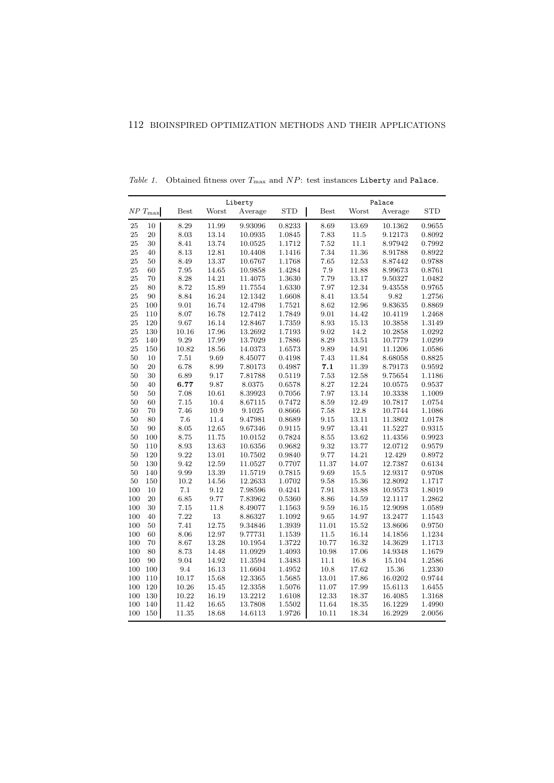| Liberty  |                           |             |       |         |            | Palace      |          |         |            |
|----------|---------------------------|-------------|-------|---------|------------|-------------|----------|---------|------------|
|          | ${\cal NP}$ $T_{\rm max}$ | <b>Best</b> | Worst | Average | <b>STD</b> | <b>Best</b> | Worst    | Average | <b>STD</b> |
| 25       | 10                        | 8.29        | 11.99 | 9.93096 | 0.8233     | 8.69        | 13.69    | 10.1362 | 0.9655     |
| $25\,$   | 20                        | $8.03\,$    | 13.14 | 10.0935 | 1.0845     | 7.83        | 11.5     | 9.12173 | 0.8092     |
| 25       | 30                        | 8.41        | 13.74 | 10.0525 | 1.1712     | 7.52        | 11.1     | 8.97942 | 0.7992     |
| 25       | 40                        | 8.13        | 12.81 | 10.4408 | 1.1416     | 7.34        | 11.36    | 8.91788 | 0.8922     |
| 25       | 50                        | 8.49        | 13.37 | 10.6767 | 1.1768     | 7.65        | 12.53    | 8.87442 | 0.9788     |
| 25       | 60                        | 7.95        | 14.65 | 10.9858 | 1.4284     | 7.9         | 11.88    | 8.99673 | 0.8761     |
| 25       | 70                        | 8.28        | 14.21 | 11.4075 | 1.3630     | 7.79        | 13.17    | 9.50327 | 1.0482     |
| 25       | 80                        | 8.72        | 15.89 | 11.7554 | 1.6330     | 7.97        | 12.34    | 9.43558 | 0.9765     |
| 25       | 90                        | 8.84        | 16.24 | 12.1342 | 1.6608     | 8.41        | 13.54    | 9.82    | 1.2756     |
| 25       | 100                       | 9.01        | 16.74 | 12.4798 | 1.7521     | 8.62        | 12.96    | 9.83635 | 0.8869     |
| 25       | 110                       | 8.07        | 16.78 | 12.7412 | 1.7849     | 9.01        | 14.42    | 10.4119 | 1.2468     |
| $\rm 25$ | 120                       | 9.67        | 16.14 | 12.8467 | 1.7359     | 8.93        | 15.13    | 10.3858 | 1.3149     |
| 25       | 130                       | 10.16       | 17.96 | 13.2692 | 1.7193     | 9.02        | 14.2     | 10.2858 | 1.0292     |
| 25       | 140                       | $9.29\,$    | 17.99 | 13.7029 | 1.7886     | 8.29        | 13.51    | 10.7779 | 1.0299     |
| 25       | 150                       | 10.82       | 18.56 | 14.0373 | 1.6573     | 9.89        | 14.91    | 11.1206 | 1.0586     |
| 50       | 10                        | 7.51        | 9.69  | 8.45077 | 0.4198     | 7.43        | 11.84    | 8.68058 | 0.8825     |
| 50       | 20                        | 6.78        | 8.99  | 7.80173 | 0.4987     | 7.1         | 11.39    | 8.79173 | 0.9592     |
| 50       | 30                        | 6.89        | 9.17  | 7.81788 | 0.5119     | 7.53        | 12.58    | 9.75654 | 1.1186     |
| 50       | 40                        | 6.77        | 9.87  | 8.0375  | 0.6578     | 8.27        | 12.24    | 10.0575 | 0.9537     |
| 50       | 50                        | 7.08        | 10.61 | 8.39923 | 0.7056     | 7.97        | 13.14    | 10.3338 | 1.1009     |
| 50       | 60                        | 7.15        | 10.4  | 8.67115 | 0.7472     | 8.59        | 12.49    | 10.7817 | 1.0754     |
| 50       | 70                        | 7.46        | 10.9  | 9.1025  | 0.8666     | 7.58        | 12.8     | 10.7744 | 1.1086     |
| 50       | 80                        | 7.6         | 11.4  | 9.47981 | 0.8689     | 9.15        | 13.11    | 11.3802 | 1.0178     |
| 50       | 90                        | $8.05\,$    | 12.65 | 9.67346 | 0.9115     | 9.97        | 13.41    | 11.5227 | 0.9315     |
| 50       | 100                       | 8.75        | 11.75 | 10.0152 | 0.7824     | 8.55        | 13.62    | 11.4356 | 0.9923     |
| 50       | 110                       | $8.93\,$    | 13.63 | 10.6356 | 0.9682     | 9.32        | 13.77    | 12.0712 | 0.9579     |
| 50       | 120                       | 9.22        | 13.01 | 10.7502 | 0.9840     | 9.77        | 14.21    | 12.429  | 0.8972     |
| 50       | 130                       | 9.42        | 12.59 | 11.0527 | 0.7707     | 11.37       | 14.07    | 12.7387 | 0.6134     |
| 50       | 140                       | 9.99        | 13.39 | 11.5719 | 0.7815     | 9.69        | $15.5\,$ | 12.9317 | 0.9708     |
| 50       | 150                       | 10.2        | 14.56 | 12.2633 | 1.0702     | 9.58        | 15.36    | 12.8092 | 1.1717     |
| 100      | 10                        | 7.1         | 9.12  | 7.98596 | 0.4241     | 7.91        | 13.88    | 10.9573 | 1.8019     |
| 100      | 20                        | 6.85        | 9.77  | 7.83962 | 0.5360     | 8.86        | 14.59    | 12.1117 | 1.2862     |
| 100      | 30                        | 7.15        | 11.8  | 8.49077 | 1.1563     | 9.59        | 16.15    | 12.9098 | 1.0589     |
| 100      | 40                        | 7.22        | 13    | 8.86327 | 1.1092     | 9.65        | 14.97    | 13.2477 | 1.1543     |
| 100      | 50                        | 7.41        | 12.75 | 9.34846 | 1.3939     | 11.01       | 15.52    | 13.8606 | 0.9750     |
| 100      | 60                        | 8.06        | 12.97 | 9.77731 | 1.1539     | 11.5        | 16.14    | 14.1856 | 1.1234     |
| 100      | 70                        | 8.67        | 13.28 | 10.1954 | 1.3722     | 10.77       | 16.32    | 14.3629 | 1.1713     |
| 100      | 80                        | 8.73        | 14.48 | 11.0929 | 1.4093     | 10.98       | 17.06    | 14.9348 | 1.1679     |
| 100      | 90                        | 9.04        | 14.92 | 11.3594 | 1.3483     | 11.1        | 16.8     | 15.104  | 1.2586     |
| 100      | 100                       | 9.4         | 16.13 | 11.6604 | 1.4952     | 10.8        | 17.62    | 15.36   | 1.2330     |
| 100      | 110                       | 10.17       | 15.68 | 12.3365 | 1.5685     | 13.01       | 17.86    | 16.0202 | 0.9744     |
| 100      | 120                       | 10.26       | 15.45 | 12.3358 | 1.5076     | 11.07       | 17.99    | 15.6113 | 1.6455     |
| 100      | 130                       | 10.22       | 16.19 | 13.2212 | 1.6108     | 12.33       | 18.37    | 16.4085 | 1.3168     |
| 100      | 140                       | 11.42       | 16.65 | 13.7808 | 1.5502     | 11.64       | 18.35    | 16.1229 | 1.4990     |
| 100      | 150                       | 11.35       | 18.68 | 14.6113 | 1.9726     | 10.11       | 18.34    | 16.2929 | 2.0056     |

Table 1. Obtained fitness over  $T_{\text{max}}$  and  $NP$ : test instances Liberty and Palace.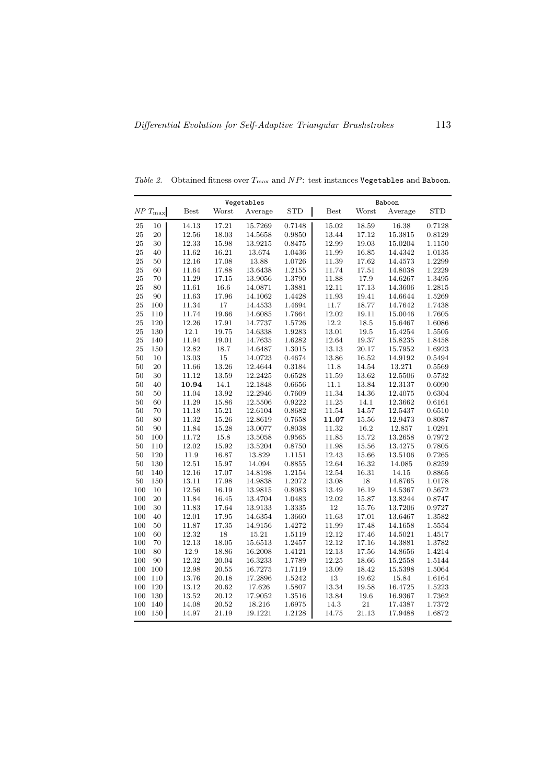|     |                      |             |           | Vegetables  |            |             | Baboon    |             |            |  |
|-----|----------------------|-------------|-----------|-------------|------------|-------------|-----------|-------------|------------|--|
|     | $N\!P$ $T_{\rm max}$ | <b>Best</b> | Worst     | Average     | <b>STD</b> | <b>Best</b> | Worst     | Average     | <b>STD</b> |  |
| 25  | 10                   | 14.13       | 17.21     | 15.7269     | 0.7148     | 15.02       | 18.59     | 16.38       | 0.7128     |  |
| 25  | 20                   | 12.56       | 18.03     | 14.5658     | 0.9850     | 13.44       | 17.12     | 15.3815     | 0.8129     |  |
| 25  | 30                   | 12.33       | 15.98     | 13.9215     | 0.8475     | 12.99       | 19.03     | 15.0204     | 1.1150     |  |
| 25  | 40                   | 11.62       | 16.21     | 13.674      | 1.0436     | 11.99       | 16.85     | 14.4342     | 1.0135     |  |
| 25  | 50                   | 12.16       | 17.08     | 13.88       | 1.0726     | 11.39       | 17.62     | 14.4573     | 1.2299     |  |
| 25  | 60                   | 11.64       | 17.88     | 13.6438     | $1.2155\,$ | 11.74       | $17.51\,$ | 14.8038     | 1.2229     |  |
| 25  | 70                   | 11.29       | 17.15     | 13.9056     | 1.3790     | 11.88       | 17.9      | 14.6267     | 1.3495     |  |
| 25  | 80                   | 11.61       | 16.6      | 14.0871     | 1.3881     | 12.11       | 17.13     | 14.3606     | 1.2815     |  |
| 25  | 90                   | 11.63       | 17.96     | 14.1062     | 1.4428     | 11.93       | 19.41     | 14.6644     | 1.5269     |  |
| 25  | 100                  | 11.34       | 17        | 14.4533     | 1.4694     | 11.7        | 18.77     | 14.7642     | 1.7438     |  |
| 25  | 110                  | 11.74       | 19.66     | 14.6085     | 1.7664     | 12.02       | 19.11     | 15.0046     | 1.7605     |  |
| 25  | 120                  | 12.26       | 17.91     | 14.7737     | 1.5726     | 12.2        | 18.5      | 15.6467     | 1.6086     |  |
| 25  | 130                  | 12.1        | 19.75     | 14.6338     | 1.9283     | 13.01       | 19.5      | 15.4254     | 1.5505     |  |
| 25  | 140                  | 11.94       | 19.01     | 14.7635     | 1.6282     | 12.64       | 19.37     | 15.8235     | 1.8458     |  |
| 25  | 150                  | 12.82       | 18.7      | 14.6487     | 1.3015     | 13.13       | 20.17     | 15.7952     | 1.6923     |  |
| 50  | 10                   | 13.03       | 15        | 14.0723     | 0.4674     | 13.86       | 16.52     | 14.9192     | 0.5494     |  |
| 50  | 20                   | 11.66       | $13.26\,$ | 12.4644     | 0.3184     | 11.8        | 14.54     | $13.271\,$  | 0.5569     |  |
| 50  | 30                   | 11.12       | 13.59     | 12.2425     | 0.6528     | 11.59       | 13.62     | 12.5506     | 0.5732     |  |
| 50  | 40                   | 10.94       | 14.1      | 12.1848     | 0.6656     | 11.1        | 13.84     | 12.3137     | 0.6090     |  |
| 50  | 50                   | 11.04       | 13.92     | 12.2946     | 0.7609     | 11.34       | 14.36     | 12.4075     | 0.6304     |  |
| 50  | 60                   | 11.29       | $15.86\,$ | $12.5506\,$ | 0.9222     | 11.25       | 14.1      | 12.3662     | 0.6161     |  |
| 50  | 70                   | 11.18       | 15.21     | 12.6104     | 0.8682     | 11.54       | 14.57     | 12.5437     | 0.6510     |  |
| 50  | 80                   | 11.32       | 15.26     | 12.8619     | 0.7658     | 11.07       | 15.56     | 12.9473     | 0.8087     |  |
| 50  | 90                   | 11.84       | 15.28     | 13.0077     | $0.8038\,$ | 11.32       | 16.2      | $12.857\,$  | 1.0291     |  |
| 50  | 100                  | 11.72       | 15.8      | 13.5058     | 0.9565     | 11.85       | 15.72     | 13.2658     | 0.7972     |  |
| 50  | 110                  | 12.02       | $15.92\,$ | 13.5204     | 0.8750     | 11.98       | $15.56\,$ | 13.4275     | 0.7805     |  |
| 50  | 120                  | 11.9        | 16.87     | 13.829      | 1.1151     | 12.43       | 15.66     | 13.5106     | 0.7265     |  |
| 50  | 130                  | 12.51       | 15.97     | 14.094      | 0.8855     | 12.64       | 16.32     | 14.085      | 0.8259     |  |
| 50  | 140                  | 12.16       | 17.07     | 14.8198     | 1.2154     | 12.54       | 16.31     | 14.15       | 0.8865     |  |
| 50  | 150                  | 13.11       | 17.98     | 14.9838     | 1.2072     | 13.08       | 18        | 14.8765     | 1.0178     |  |
| 100 | 10                   | 12.56       | 16.19     | 13.9815     | 0.8083     | 13.49       | 16.19     | 14.5367     | 0.5672     |  |
| 100 | 20                   | 11.84       | 16.45     | 13.4704     | 1.0483     | 12.02       | 15.87     | 13.8244     | 0.8747     |  |
| 100 | 30                   | 11.83       | 17.64     | 13.9133     | 1.3335     | 12          | 15.76     | 13.7206     | 0.9727     |  |
| 100 | 40                   | $12.01\,$   | 17.95     | 14.6354     | 1.3660     | 11.63       | $17.01\,$ | 13.6467     | 1.3582     |  |
| 100 | 50                   | 11.87       | 17.35     | 14.9156     | 1.4272     | 11.99       | 17.48     | $14.1658\,$ | 1.5554     |  |
| 100 | 60                   | 12.32       | 18        | 15.21       | 1.5119     | 12.12       | 17.46     | 14.5021     | 1.4517     |  |
| 100 | 70                   | 12.13       | $18.05\,$ | 15.6513     | 1.2457     | 12.12       | 17.16     | 14.3881     | 1.3782     |  |
| 100 | 80                   | 12.9        | 18.86     | 16.2008     | 1.4121     | 12.13       | 17.56     | 14.8656     | 1.4214     |  |
| 100 | 90                   | 12.32       | 20.04     | 16.3233     | 1.7789     | 12.25       | 18.66     | 15.2558     | 1.5144     |  |
| 100 | 100                  | 12.98       | 20.55     | 16.7275     | 1.7119     | 13.09       | 18.42     | 15.5398     | 1.5064     |  |
| 100 | 110                  | 13.76       | 20.18     | 17.2896     | 1.5242     | 13          | 19.62     | 15.84       | 1.6164     |  |
| 100 | 120                  | 13.12       | 20.62     | 17.626      | 1.5807     | 13.34       | 19.58     | 16.4725     | 1.5223     |  |
| 100 | 130                  | $13.52\,$   | $20.12\,$ | 17.9052     | 1.3516     | 13.84       | $19.6\,$  | 16.9367     | 1.7362     |  |
| 100 | 140                  | 14.08       | 20.52     | 18.216      | 1.6975     | 14.3        | $21\,$    | 17.4387     | 1.7372     |  |
| 100 | 150                  | 14.97       | 21.19     | 19.1221     | 1.2128     | 14.75       | 21.13     | 17.9488     | 1.6872     |  |

Table 2. Obtained fitness over  $T_{\text{max}}$  and  $NP$ : test instances Vegetables and Baboon.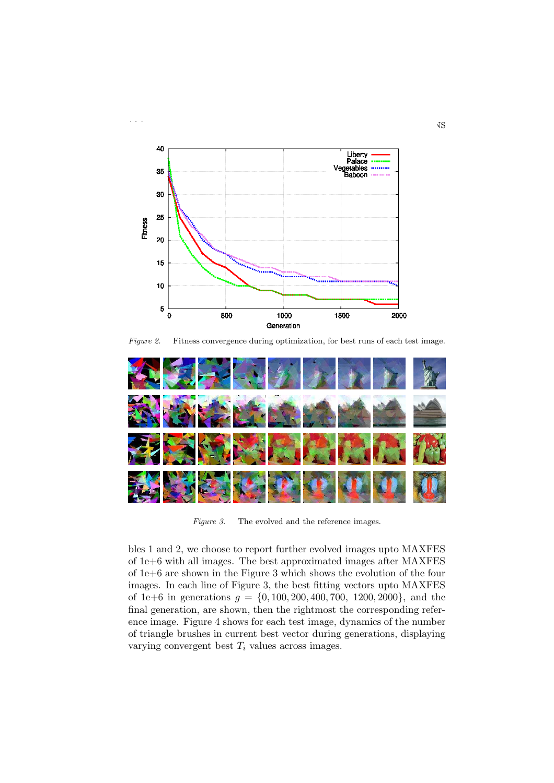

Figure 2. Fitness convergence during optimization, for best runs of each test image.



Figure 3. The evolved and the reference images.

bles 1 and 2, we choose to report further evolved images upto MAXFES of 1e+6 with all images. The best approximated images after MAXFES of 1e+6 are shown in the Figure 3 which shows the evolution of the four images. In each line of Figure 3, the best fitting vectors upto MAXFES of 1e+6 in generations  $g = \{0, 100, 200, 400, 700, 1200, 2000\}$ , and the final generation, are shown, then the rightmost the corresponding reference image. Figure 4 shows for each test image, dynamics of the number of triangle brushes in current best vector during generations, displaying varying convergent best  $T_i$  values across images.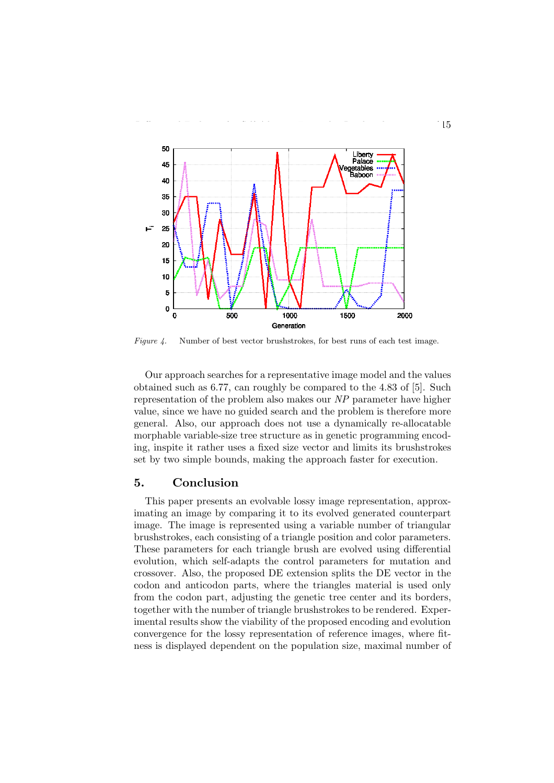

Figure 4. Number of best vector brushstrokes, for best runs of each test image.

Our approach searches for a representative image model and the values obtained such as 6.77, can roughly be compared to the 4.83 of [5]. Such representation of the problem also makes our NP parameter have higher value, since we have no guided search and the problem is therefore more general. Also, our approach does not use a dynamically re-allocatable morphable variable-size tree structure as in genetic programming encoding, inspite it rather uses a fixed size vector and limits its brushstrokes set by two simple bounds, making the approach faster for execution.

### 5. Conclusion

This paper presents an evolvable lossy image representation, approximating an image by comparing it to its evolved generated counterpart image. The image is represented using a variable number of triangular brushstrokes, each consisting of a triangle position and color parameters. These parameters for each triangle brush are evolved using differential evolution, which self-adapts the control parameters for mutation and crossover. Also, the proposed DE extension splits the DE vector in the codon and anticodon parts, where the triangles material is used only from the codon part, adjusting the genetic tree center and its borders, together with the number of triangle brushstrokes to be rendered. Experimental results show the viability of the proposed encoding and evolution convergence for the lossy representation of reference images, where fitness is displayed dependent on the population size, maximal number of